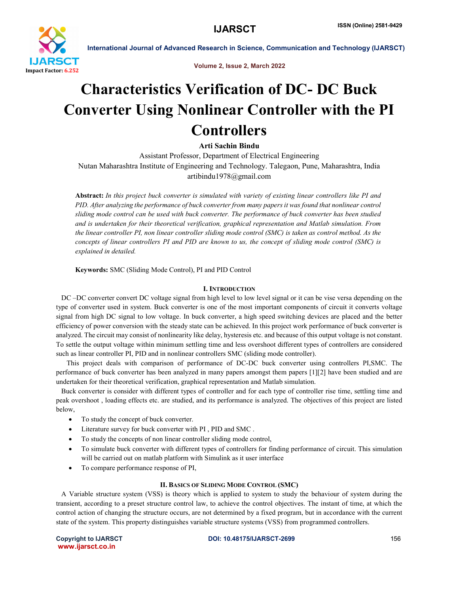

Volume 2, Issue 2, March 2022

## Characteristics Verification of DC- DC Buck Converter Using Nonlinear Controller with the PI Controllers

Arti Sachin Bindu

Assistant Professor, Department of Electrical Engineering Nutan Maharashtra Institute of Engineering and Technology. Talegaon, Pune, Maharashtra, India artibindu1978@gmail.com

Abstract: *In this project buck converter is simulated with variety of existing linear controllers like PI and PID. After analyzing the performance of buck converter from many papers it was found that nonlinear control sliding mode control can be used with buck converter. The performance of buck converter has been studied and is undertaken for their theoretical verification, graphical representation and Matlab simulation. From the linear controller PI, non linear controller sliding mode control (SMC) is taken as control method. As the concepts of linear controllers PI and PID are known to us, the concept of sliding mode control (SMC) is explained in detailed.*

Keywords: SMC (Sliding Mode Control), PI and PID Control

## I. INTRODUCTION

 DC –DC converter convert DC voltage signal from high level to low level signal or it can be vise versa depending on the type of converter used in system. Buck converter is one of the most important components of circuit it converts voltage signal from high DC signal to low voltage. In buck converter, a high speed switching devices are placed and the better efficiency of power conversion with the steady state can be achieved. In this project work performance of buck converter is analyzed. The circuit may consist of nonlinearity like delay, hysteresis etc. and because of this output voltage is not constant. To settle the output voltage within minimum settling time and less overshoot different types of controllers are considered such as linear controller PI, PID and in nonlinear controllers SMC (sliding mode controller).

 This project deals with comparison of performance of DC-DC buck converter using controllers PI,SMC. The performance of buck converter has been analyzed in many papers amongst them papers [1][2] have been studied and are undertaken for their theoretical verification, graphical representation and Matlab simulation.

 Buck converter is consider with different types of controller and for each type of controller rise time, settling time and peak overshoot , loading effects etc. are studied, and its performance is analyzed. The objectives of this project are listed below,

- To study the concept of buck converter.
- Literature survey for buck converter with PI , PID and SMC .
- To study the concepts of non linear controller sliding mode control,
- To simulate buck converter with different types of controllers for finding performance of circuit. This simulation will be carried out on matlab platform with Simulink as it user interface
- To compare performance response of PI,

### II. BASICS OF SLIDING MODE CONTROL (SMC)

 A Variable structure system (VSS) is theory which is applied to system to study the behaviour of system during the transient, according to a preset structure control law, to achieve the control objectives. The instant of time, at which the control action of changing the structure occurs, are not determined by a fixed program, but in accordance with the current state of the system. This property distinguishes variable structure systems (VSS) from programmed controllers.

www.ijarsct.co.in

Copyright to IJARSCT DOI: 10.48175/IJARSCT-2699 156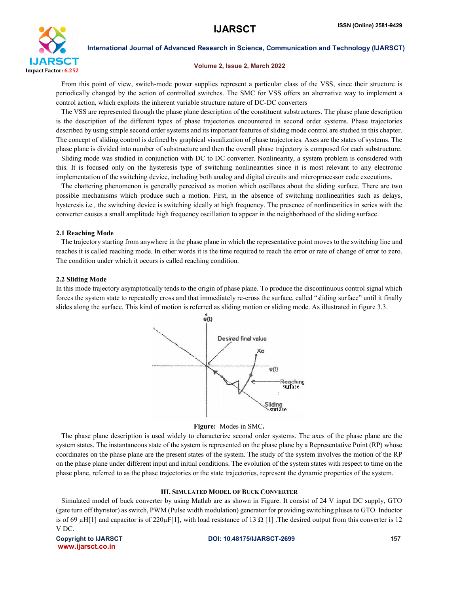

#### Volume 2, Issue 2, March 2022

 From this point of view, switch-mode power supplies represent a particular class of the VSS, since their structure is periodically changed by the action of controlled switches. The SMC for VSS offers an alternative way to implement a control action, which exploits the inherent variable structure nature of DC-DC converters

 The VSS are represented through the phase plane description of the constituent substructures. The phase plane description is the description of the different types of phase trajectories encountered in second order systems. Phase trajectories described by using simple second order systems and its important features of sliding mode control are studied in this chapter. The concept of sliding control is defined by graphical visualization of phase trajectories. Axes are the states of systems. The phase plane is divided into number of substructure and then the overall phase trajectory is composed for each substructure.

 Sliding mode was studied in conjunction with DC to DC converter. Nonlinearity, a system problem is considered with this. It is focused only on the hysteresis type of switching nonlinearities since it is most relevant to any electronic implementation of the switching device, including both analog and digital circuits and microprocessor code executions.

 The chattering phenomenon is generally perceived as motion which oscillates about the sliding surface. There are two possible mechanisms which produce such a motion. First, in the absence of switching nonlinearities such as delays, hysteresis i.e*.,* the switching device is switching ideally at high frequency. The presence of nonlinearities in series with the converter causes a small amplitude high frequency oscillation to appear in the neighborhood of the sliding surface.

#### 2.1 Reaching Mode

 The trajectory starting from anywhere in the phase plane in which the representative point moves to the switching line and reaches it is called reaching mode. In other words it is the time required to reach the error or rate of change of error to zero. The condition under which it occurs is called reaching condition.

#### 2.2 Sliding Mode

In this mode trajectory asymptotically tends to the origin of phase plane. To produce the discontinuous control signal which forces the system state to repeatedly cross and that immediately re-cross the surface, called "sliding surface" until it finally slides along the surface. This kind of motion is referred as sliding motion or sliding mode. As illustrated in figure 3.3.



#### Figure: Modes in SMC.

 The phase plane description is used widely to characterize second order systems. The axes of the phase plane are the system states. The instantaneous state of the system is represented on the phase plane by a Representative Point (RP) whose coordinates on the phase plane are the present states of the system. The study of the system involves the motion of the RP on the phase plane under different input and initial conditions. The evolution of the system states with respect to time on the phase plane, referred to as the phase trajectories or the state trajectories, represent the dynamic properties of the system.

#### III. SIMULATED MODEL OF BUCK CONVERTER

 Simulated model of buck converter by using Matlab are as shown in Figure. It consist of 24 V input DC supply, GTO (gate turn off thyristor) as switch, PWM (Pulse width modulation) generator for providing switching pluses to GTO. Inductor is of 69 µH[1] and capacitor is of  $220\mu$ F[1], with load resistance of 13  $\Omega$  [1]. The desired output from this converter is 12 V DC.

www.ijarsct.co.in

#### Copyright to IJARSCT **DOI: 10.48175/IJARSCT-2699** 157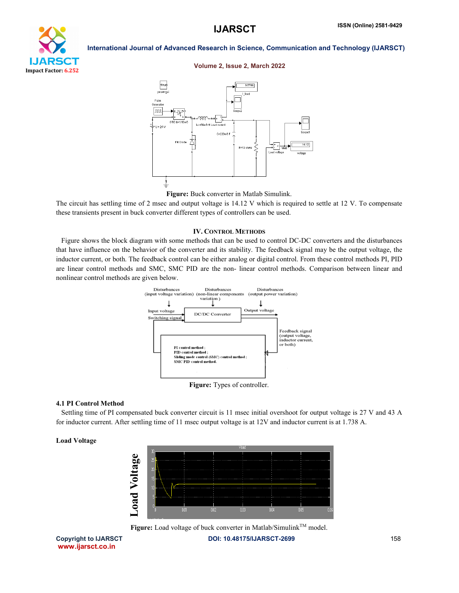

#### Volume 2, Issue 2, March 2022



Figure: Buck converter in Matlab Simulink.

The circuit has settling time of 2 msec and output voltage is 14.12 V which is required to settle at 12 V. To compensate these transients present in buck converter different types of controllers can be used.

#### IV. CONTROL METHODS

 Figure shows the block diagram with some methods that can be used to control DC-DC converters and the disturbances that have influence on the behavior of the converter and its stability. The feedback signal may be the output voltage, the inductor current, or both. The feedback control can be either analog or digital control. From these control methods PI, PID are linear control methods and SMC, SMC PID are the non- linear control methods. Comparison between linear and nonlinear control methods are given below.



## 4.1 PI Control Method

 Settling time of PI compensated buck converter circuit is 11 msec initial overshoot for output voltage is 27 V and 43 A for inductor current. After settling time of 11 msec output voltage is at 12V and inductor current is at 1.738 A.

#### Load Voltage



Copyright to IJARSCT **DOI: 10.48175/IJARSCT-2699** 158

www.ijarsct.co.in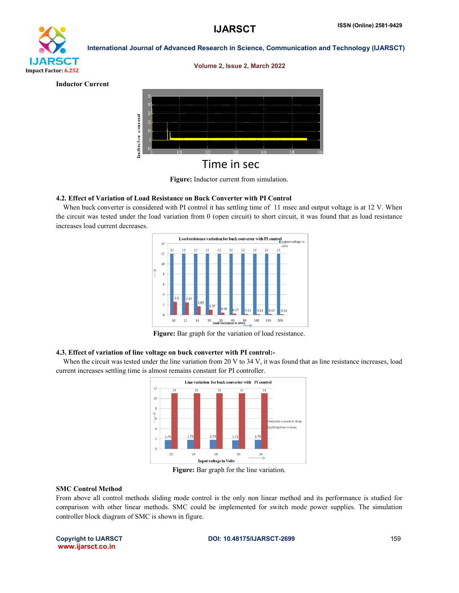

#### Volume 2, Issue 2, March 2022

Inductor Current



Figure: Inductor current from simulation.

## 4.2. Effect of Variation of Load Resistance on Buck Converter with PI Control

When buck converter is considered with PI control it has settling time of 11 msec and output voltage is at 12 V. When the circuit was tested under the load variation from 0 (open circuit) to short circuit, it was found that as load resistance increases load current decreases.



Figure: Bar graph for the variation of load resistance.

#### 4.3. Effect of variation of line voltage on buck converter with PI control:-

When the circuit was tested under the line variation from 20 V to 34 V, it was found that as line resistance increases, load current increases settling time is almost remains constant for PI controller.



Figure: Bar graph for the line variation.

#### SMC Control Method

From above all control methods sliding mode control is the only non linear method and its performance is studied for comparison with other linear methods. SMC could be implemented for switch mode power supplies. The simulation controller block diagram of SMC is shown in figure.

www.ijarsct.co.in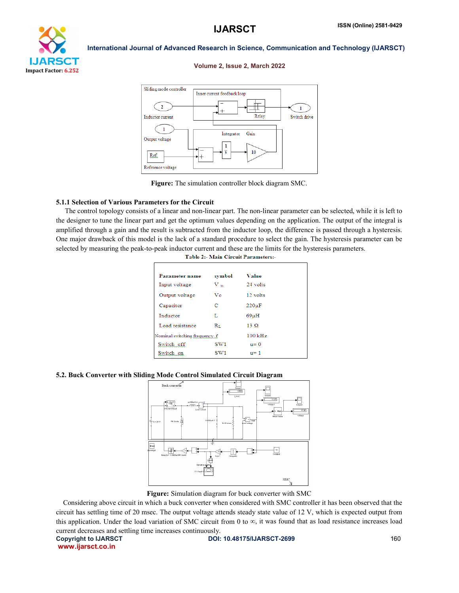

#### Volume 2, Issue 2, March 2022



Figure: The simulation controller block diagram SMC.

### 5.1.1 Selection of Various Parameters for the Circuit

 The control topology consists of a linear and non-linear part. The non-linear parameter can be selected, while it is left to the designer to tune the linear part and get the optimum values depending on the application. The output of the integral is amplified through a gain and the result is subtracted from the inductor loop, the difference is passed through a hysteresis. One major drawback of this model is the lack of a standard procedure to select the gain. The hysteresis parameter can be selected by measuring the peak-to-peak inductor current and these are the limits for the hysteresis parameters. Table 2:- Main Circuit Parameters:-

| Parameter name                | symbol    | Value      |  |
|-------------------------------|-----------|------------|--|
| Input voltage                 | $V_{in}$  | 24 volts   |  |
| Output voltage                | Vo        | 12 volts   |  |
| Capacitor                     | С         | $220\mu F$ |  |
| Inductor                      | Т.        | 69uH       |  |
| Load resistance               | Rт.       | 13 Q       |  |
| Nominal switching frequency f | $100$ kHz |            |  |
| Switch off                    | SW1       | $u = 0$    |  |
| Switch on                     | SW1       | $u=1$      |  |
|                               |           |            |  |

#### 5.2. Buck Converter with Sliding Mode Control Simulated Circuit Diagram



Figure: Simulation diagram for buck converter with SMC

 Considering above circuit in which a buck converter when considered with SMC controller it has been observed that the circuit has settling time of 20 msec. The output voltage attends steady state value of 12 V, which is expected output from this application. Under the load variation of SMC circuit from 0 to  $\infty$ , it was found that as load resistance increases load current decreases and settling time increases continuously.

www.ijarsct.co.in

Copyright to IJARSCT **DOI: 10.48175/IJARSCT-2699** 160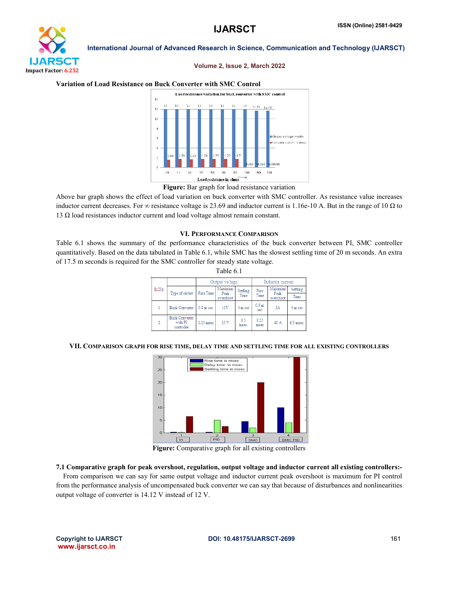# **IJARSCT** Impact Factor: 6.252

International Journal of Advanced Research in Science, Communication and Technology (IJARSCT)

#### Volume 2, Issue 2, March 2022

#### Variation of Load Resistance on Buck Converter with SMC Control



#### Figure: Bar graph for load resistance variation

Above bar graph shows the effect of load variation on buck converter with SMC controller. As resistance value increases inductor current decreases. For  $\infty$  resistance voltage is 23.69 and inductor current is 1.16e-10 A. But in the range of 10  $\Omega$  to 13 Ω load resistances inductor current and load voltage almost remain constant.

## VI. PERFORMANCE COMPARISON

Table 6.1 shows the summary of the performance characteristics of the buck converter between PI, SMC controller quantitatively. Based on the data tabulated in Table 6.1, while SMC has the slowest settling time of 20 m seconds. An extra of 17.5 m seconds is required for the SMC controller for steady state voltage. Table 6.1

| 1 avit 0.1 |                |                                                |                  |                              |                  |                         |                              |           |  |  |
|------------|----------------|------------------------------------------------|------------------|------------------------------|------------------|-------------------------|------------------------------|-----------|--|--|
|            |                |                                                | Output voltage   |                              | Inductor current |                         |                              |           |  |  |
|            | St.Ne.         | Type of circuit                                | <b>Rise Time</b> | Maximum<br>Peak<br>overshoot | Settling<br>Time | Rise<br>Time            | Maximum<br>Peak<br>overshoot | Settling  |  |  |
|            |                |                                                |                  |                              |                  |                         |                              | Time      |  |  |
|            |                | <b>Buck Converter</b>                          | $0.9m$ sec       | 11V                          | 4 m sec          | 0.9 <sub>m</sub><br>sec | 2A                           | 4 m sec   |  |  |
|            | $\overline{2}$ | <b>Buck Converter</b><br>with PI<br>controller | $0.25$ msec      | 25 V                         | 65<br>msec.      | 0.25<br>msec            | 40 A                         | 6.5 msec. |  |  |
|            |                |                                                |                  |                              |                  |                         |                              |           |  |  |

#### VII. COMPARISON GRAPH FOR RISE TIME, DELAY TIME AND SETTLING TIME FOR ALL EXISTING CONTROLLERS



Figure: Comparative graph for all existing controllers

7.1 Comparative graph for peak overshoot, regulation, output voltage and inductor current all existing controllers:-

 From comparison we can say for same output voltage and inductor current peak overshoot is maximum for PI control from the performance analysis of uncompensated buck converter we can say that because of disturbances and nonlinearities output voltage of converter is 14.12 V instead of 12 V.